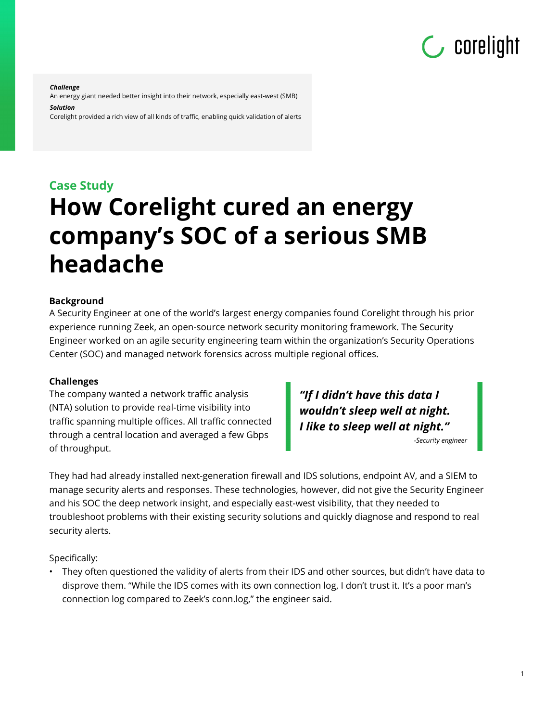# $\mathsf{C}$  corelight

#### *Challenge*

An energy giant needed better insight into their network, especially east-west (SMB)

#### *Solution*

Corelight provided a rich view of all kinds of traffic, enabling quick validation of alerts

# **Case Study How Corelight cured an energy company's SOC of a serious SMB headache**

#### **Background**

A Security Engineer at one of the world's largest energy companies found Corelight through his prior experience running Zeek, an open-source network security monitoring framework. The Security Engineer worked on an agile security engineering team within the organization's Security Operations Center (SOC) and managed network forensics across multiple regional offices.

#### **Challenges**

The company wanted a network traffic analysis (NTA) solution to provide real-time visibility into traffic spanning multiple offices. All traffic connected through a central location and averaged a few Gbps of throughput.

"If I didn't have this data I wouldn't sleep well at night. I like to sleep well at night."

-Security engineer

They had had already installed next-generation firewall and IDS solutions, endpoint AV, and a SIEM to manage security alerts and responses. These technologies, however, did not give the Security Engineer and his SOC the deep network insight, and especially east-west visibility, that they needed to troubleshoot problems with their existing security solutions and quickly diagnose and respond to real security alerts.

Specifically:

• They often questioned the validity of alerts from their IDS and other sources, but didn't have data to disprove them. "While the IDS comes with its own connection log, I don't trust it. It's a poor man's connection log compared to Zeek's conn.log," the engineer said.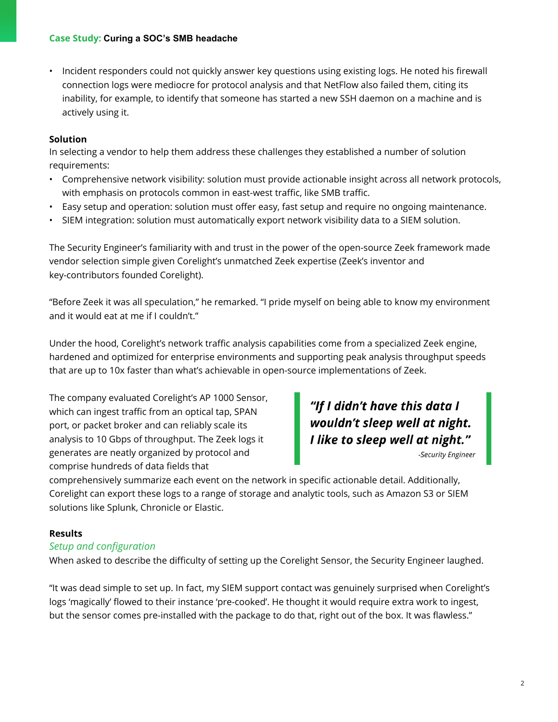• Incident responders could not quickly answer key questions using existing logs. He noted his firewall connection logs were mediocre for protocol analysis and that NetFlow also failed them, citing its inability, for example, to identify that someone has started a new SSH daemon on a machine and is actively using it.

#### **Solution**

In selecting a vendor to help them address these challenges they established a number of solution requirements:

- Comprehensive network visibility: solution must provide actionable insight across all network protocols, with emphasis on protocols common in east-west traffic, like SMB traffic.
- Easy setup and operation: solution must offer easy, fast setup and require no ongoing maintenance.
- SIEM integration: solution must automatically export network visibility data to a SIEM solution.

The Security Engineer's familiarity with and trust in the power of the open-source Zeek framework made vendor selection simple given Corelight's unmatched Zeek expertise (Zeek's inventor and key-contributors founded Corelight).

"Before Zeek it was all speculation," he remarked. "I pride myself on being able to know my environment and it would eat at me if I couldn't."

Under the hood, Corelight's network traffic analysis capabilities come from a specialized Zeek engine, hardened and optimized for enterprise environments and supporting peak analysis throughput speeds that are up to 10x faster than what's achievable in open-source implementations of Zeek.

The company evaluated Corelight's AP 1000 Sensor, which can ingest traffic from an optical tap, SPAN port, or packet broker and can reliably scale its analysis to 10 Gbps of throughput. The Zeek logs it generates are neatly organized by protocol and comprise hundreds of data fields that

# "If I didn't have this data I<br>wouldn't sleep well at night.<br>I like to sleep well at night."

comprehensively summarize each event on the network in specific actionable detail. Additionally, Corelight can export these logs to a range of storage and analytic tools, such as Amazon S3 or SIEM solutions like Splunk, Chronicle or Elastic.

## **Results**

## *Setup and configuration*

When asked to describe the difficulty of setting up the Corelight Sensor, the Security Engineer laughed.

"It was dead simple to set up. In fact, my SIEM support contact was genuinely surprised when Corelight's logs 'magically' flowed to their instance 'pre-cooked'. He thought it would require extra work to ingest, but the sensor comes pre-installed with the package to do that, right out of the box. It was flawless."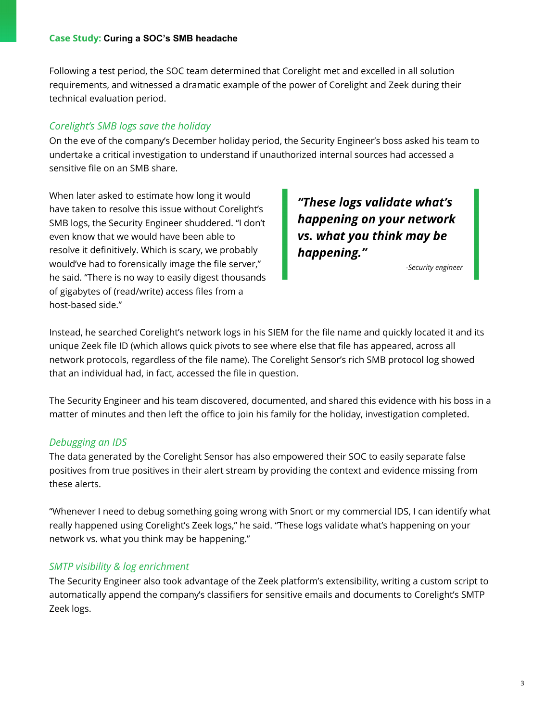#### **Case Study: Curing a SOC's SMB headache**

Following a test period, the SOC team determined that Corelight met and excelled in all solution requirements, and witnessed a dramatic example of the power of Corelight and Zeek during their technical evaluation period.

# *Corelight's SMB logs save the holiday*

On the eve of the company's December holiday period, the Security Engineer's boss asked his team to undertake a critical investigation to understand if unauthorized internal sources had accessed a sensitive file on an SMB share.

When later asked to estimate how long it would have taken to resolve this issue without Corelight's SMB logs, the Security Engineer shuddered. "I don't even know that we would have been able to resolve it definitively. Which is scary, we probably would've had to forensically image the file server," he said. "There is no way to easily digest thousands of gigabytes of (read/write) access files from a host-based side."

"These logs validate what's happening on your network vs. what you think may be happening."

-Security engineer

Instead, he searched Corelight's network logs in his SIEM for the file name and quickly located it and its unique Zeek file ID (which allows quick pivots to see where else that file has appeared, across all network protocols, regardless of the file name). The Corelight Sensor's rich SMB protocol log showed that an individual had, in fact, accessed the file in question.

The Security Engineer and his team discovered, documented, and shared this evidence with his boss in a matter of minutes and then left the office to join his family for the holiday, investigation completed.

## *Debugging an IDS*

The data generated by the Corelight Sensor has also empowered their SOC to easily separate false positives from true positives in their alert stream by providing the context and evidence missing from these alerts.

"Whenever I need to debug something going wrong with Snort or my commercial IDS, I can identify what really happened using Corelight's Zeek logs," he said. "These logs validate what's happening on your network vs. what you think may be happening."

## *SMTP visibility & log enrichment*

The Security Engineer also took advantage of the Zeek platform's extensibility, writing a custom script to automatically append the company's classifiers for sensitive emails and documents to Corelight's SMTP Zeek logs.